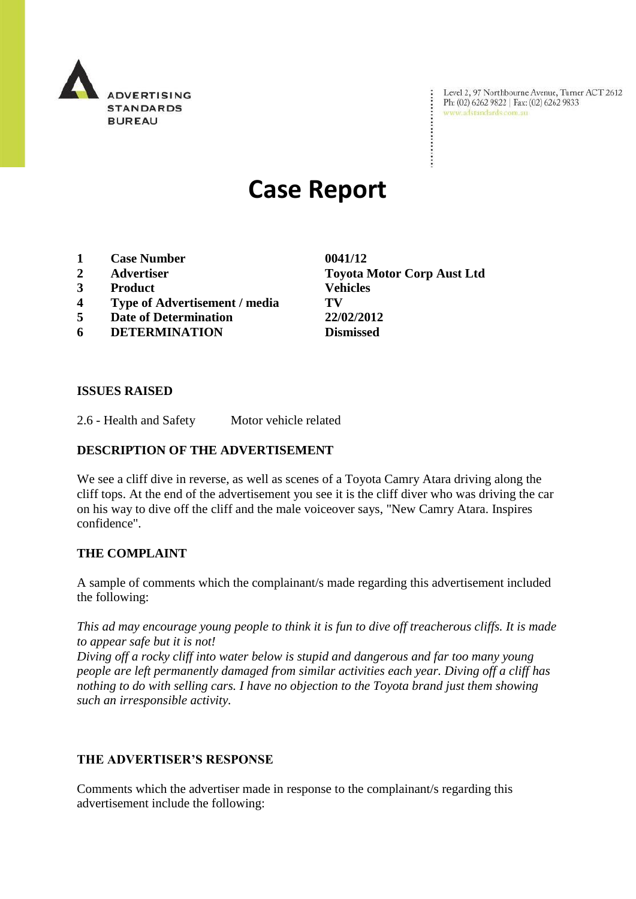

Level 2, 97 Northbourne Avenue, Turner ACT 2612<br>Ph: (02) 6262 9822 | Fax: (02) 6262 9833<br>www.adstandards.com.au

# **Case Report**

- **1 Case Number 0041/12**
- 
- **3 Product Vehicles**
- **4 Type of Advertisement / media TV**
- **5 Date of Determination 22/02/2012**
- **6 DETERMINATION Dismissed**

**2 Advertiser Toyota Motor Corp Aust Ltd**

 $\ddot{\cdot}$ 

### **ISSUES RAISED**

2.6 - Health and Safety Motor vehicle related

### **DESCRIPTION OF THE ADVERTISEMENT**

We see a cliff dive in reverse, as well as scenes of a Toyota Camry Atara driving along the cliff tops. At the end of the advertisement you see it is the cliff diver who was driving the car on his way to dive off the cliff and the male voiceover says, "New Camry Atara. Inspires confidence".

### **THE COMPLAINT**

A sample of comments which the complainant/s made regarding this advertisement included the following:

*This ad may encourage young people to think it is fun to dive off treacherous cliffs. It is made to appear safe but it is not!*

*Diving off a rocky cliff into water below is stupid and dangerous and far too many young people are left permanently damaged from similar activities each year. Diving off a cliff has nothing to do with selling cars. I have no objection to the Toyota brand just them showing such an irresponsible activity.*

### **THE ADVERTISER'S RESPONSE**

Comments which the advertiser made in response to the complainant/s regarding this advertisement include the following: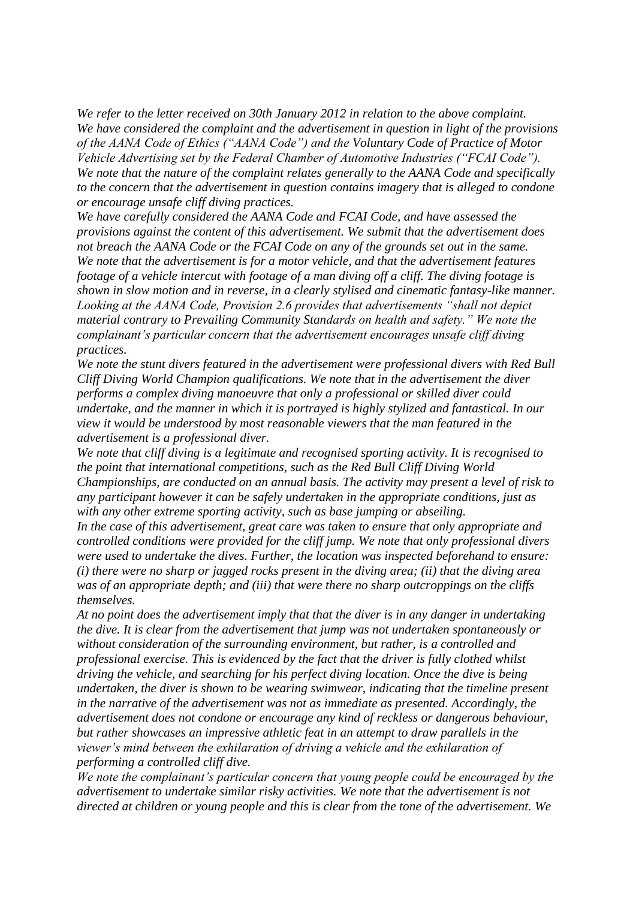*We refer to the letter received on 30th January 2012 in relation to the above complaint. We have considered the complaint and the advertisement in question in light of the provisions of the AANA Code of Ethics ("AANA Code") and the Voluntary Code of Practice of Motor Vehicle Advertising set by the Federal Chamber of Automotive Industries ("FCAI Code"). We note that the nature of the complaint relates generally to the AANA Code and specifically to the concern that the advertisement in question contains imagery that is alleged to condone or encourage unsafe cliff diving practices.*

*We have carefully considered the AANA Code and FCAI Code, and have assessed the provisions against the content of this advertisement. We submit that the advertisement does not breach the AANA Code or the FCAI Code on any of the grounds set out in the same. We note that the advertisement is for a motor vehicle, and that the advertisement features footage of a vehicle intercut with footage of a man diving off a cliff. The diving footage is shown in slow motion and in reverse, in a clearly stylised and cinematic fantasy-like manner. Looking at the AANA Code, Provision 2.6 provides that advertisements "shall not depict material contrary to Prevailing Community Standards on health and safety." We note the complainant"s particular concern that the advertisement encourages unsafe cliff diving practices.*

*We note the stunt divers featured in the advertisement were professional divers with Red Bull Cliff Diving World Champion qualifications. We note that in the advertisement the diver performs a complex diving manoeuvre that only a professional or skilled diver could undertake, and the manner in which it is portrayed is highly stylized and fantastical. In our view it would be understood by most reasonable viewers that the man featured in the advertisement is a professional diver.*

*We note that cliff diving is a legitimate and recognised sporting activity. It is recognised to the point that international competitions, such as the Red Bull Cliff Diving World Championships, are conducted on an annual basis. The activity may present a level of risk to any participant however it can be safely undertaken in the appropriate conditions, just as with any other extreme sporting activity, such as base jumping or abseiling.* 

*In the case of this advertisement, great care was taken to ensure that only appropriate and controlled conditions were provided for the cliff jump. We note that only professional divers were used to undertake the dives. Further, the location was inspected beforehand to ensure: (i) there were no sharp or jagged rocks present in the diving area; (ii) that the diving area was of an appropriate depth; and (iii) that were there no sharp outcroppings on the cliffs themselves.* 

*At no point does the advertisement imply that that the diver is in any danger in undertaking the dive. It is clear from the advertisement that jump was not undertaken spontaneously or without consideration of the surrounding environment, but rather, is a controlled and professional exercise. This is evidenced by the fact that the driver is fully clothed whilst driving the vehicle, and searching for his perfect diving location. Once the dive is being undertaken, the diver is shown to be wearing swimwear, indicating that the timeline present in the narrative of the advertisement was not as immediate as presented. Accordingly, the advertisement does not condone or encourage any kind of reckless or dangerous behaviour, but rather showcases an impressive athletic feat in an attempt to draw parallels in the viewer"s mind between the exhilaration of driving a vehicle and the exhilaration of performing a controlled cliff dive.*

*We note the complainant"s particular concern that young people could be encouraged by the advertisement to undertake similar risky activities. We note that the advertisement is not directed at children or young people and this is clear from the tone of the advertisement. We*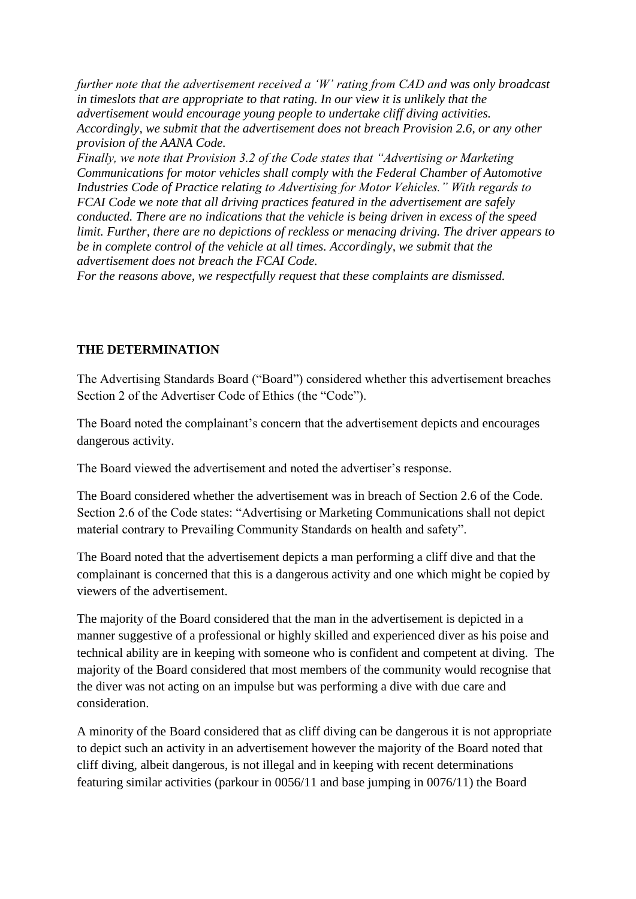*further note that the advertisement received a "W" rating from CAD and was only broadcast in timeslots that are appropriate to that rating. In our view it is unlikely that the advertisement would encourage young people to undertake cliff diving activities. Accordingly, we submit that the advertisement does not breach Provision 2.6, or any other provision of the AANA Code. Finally, we note that Provision 3.2 of the Code states that "Advertising or Marketing Communications for motor vehicles shall comply with the Federal Chamber of Automotive Industries Code of Practice relating to Advertising for Motor Vehicles." With regards to FCAI Code we note that all driving practices featured in the advertisement are safely conducted. There are no indications that the vehicle is being driven in excess of the speed limit. Further, there are no depictions of reckless or menacing driving. The driver appears to be in complete control of the vehicle at all times. Accordingly, we submit that the advertisement does not breach the FCAI Code.*

*For the reasons above, we respectfully request that these complaints are dismissed.*

## **THE DETERMINATION**

The Advertising Standards Board ("Board") considered whether this advertisement breaches Section 2 of the Advertiser Code of Ethics (the "Code").

The Board noted the complainant's concern that the advertisement depicts and encourages dangerous activity.

The Board viewed the advertisement and noted the advertiser's response.

The Board considered whether the advertisement was in breach of Section 2.6 of the Code. Section 2.6 of the Code states: "Advertising or Marketing Communications shall not depict material contrary to Prevailing Community Standards on health and safety".

The Board noted that the advertisement depicts a man performing a cliff dive and that the complainant is concerned that this is a dangerous activity and one which might be copied by viewers of the advertisement.

The majority of the Board considered that the man in the advertisement is depicted in a manner suggestive of a professional or highly skilled and experienced diver as his poise and technical ability are in keeping with someone who is confident and competent at diving. The majority of the Board considered that most members of the community would recognise that the diver was not acting on an impulse but was performing a dive with due care and consideration.

A minority of the Board considered that as cliff diving can be dangerous it is not appropriate to depict such an activity in an advertisement however the majority of the Board noted that cliff diving, albeit dangerous, is not illegal and in keeping with recent determinations featuring similar activities (parkour in 0056/11 and base jumping in 0076/11) the Board